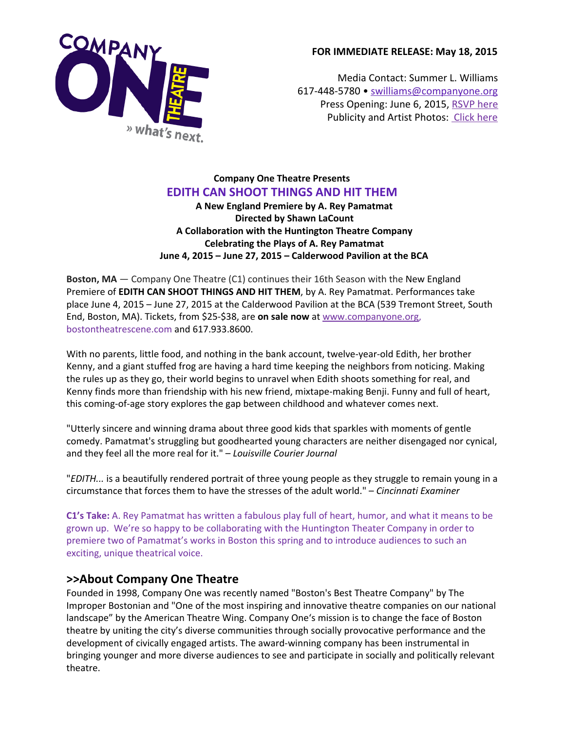

### **FOR IMMEDIATE RELEASE: May 18, 2015**

Media Contact: Summer L. Williams 617-448-5780 • [swilliams@companyone.org](mailto:swilliams@companyone.org) Press Opening: June 6, 2015, [RSVP](mailto:swilliams@companyone.org) h[e](mailto:swilliams@companyone.org)re [Publicity](mailto:swilliams@companyone.org) and Artist Photos: [Click](http://companyone.org/production/edith-can-shoot-things-and-hit-them/) her[e](mailto:swilliams@companyone.org)

### **Company One Theatre Presents EDITH CAN SHOOT THINGS AND HIT THEM**

**A New England Premiere by A. Rey Pamatmat Directed by Shawn LaCount A Collaboration with the Huntington Theatre Company Celebrating the Plays of A. Rey Pamatmat June 4, 2015 – June 27, 2015 – Calderwood Pavilion at the BCA**

**Boston, MA** — Company One Theatre (C1) continues their 16th Season with the New England Premiere of **EDITH CAN SHOOT THINGS AND HIT THEM**, by A. Rey Pamatmat. Performances take place June 4, 2015 – June 27, 2015 at the Calderwood Pavilion at the BCA (539 Tremont Street, South End, Boston, MA). Tickets, from \$25-\$38, are **on sale now**at [www.companyone.org](http://companyone.org/production/edith-can-shoot-things-and-hit-them/), [bostontheatrescene.com](http://www.bostontheatrescene.com/season/Edith-Can-Shoot-Things-and-Hit-Them/) and 617.933.8600.

With no parents, little food, and nothing in the bank account, twelve-year-old Edith, her brother Kenny, and a giant stuffed frog are having a hard time keeping the neighbors from noticing. Making the rules up as they go, their world begins to unravel when Edith shoots something for real, and Kenny finds more than friendship with his new friend, mixtape-making Benji. Funny and full of heart, this coming-of-age story explores the gap between childhood and whatever comes next.

"Utterly sincere and winning drama about three good kids that sparkles with moments of gentle comedy. Pamatmat's struggling but goodhearted young characters are neither disengaged nor cynical, and they feel all the more real for it." – *Louisville Courier Journal*

"*EDITH...* is a beautifully rendered portrait of three young people as they struggle to remain young in a circumstance that forces them to have the stresses of the adult world." – *Cincinnati Examiner*

**C1's Take:** A. Rey Pamatmat has written a fabulous play full of heart, humor, and what it means to be grown up. We're so happy to be collaborating with the Huntington Theater Company in order to premiere two of Pamatmat's works in Boston this spring and to introduce audiences to such an exciting, unique theatrical voice.

### **>>About Company One Theatre**

Founded in 1998, Company One was recently named "Boston's Best Theatre Company" by The Improper Bostonian and "One of the most inspiring and innovative theatre companies on our national landscape" by the American Theatre Wing. Company One's mission is to change the face of Boston theatre by uniting the city's diverse communities through socially provocative performance and the development of civically engaged artists. The award-winning company has been instrumental in bringing younger and more diverse audiences to see and participate in socially and politically relevant theatre.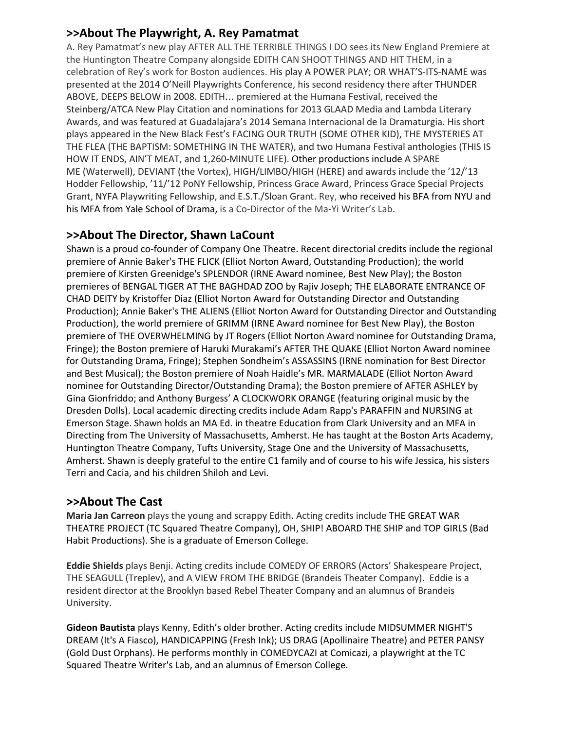## **>>About The Playwright, A. Rey Pamatmat**

A. Rey Pamatmat's new play AFTER ALL THE TERRIBLE THINGS I DO sees its New England Premiere at the Huntington Theatre Company alongside EDITH CAN SHOOT THINGS AND HIT THEM, in a celebration of Rey's work for Boston audiences. His play A POWER PLAY; OR WHAT'S-ITS-NAME was presented at the 2014 O'Neill Playwrights Conference, his second residency there after THUNDER ABOVE, DEEPS BELOW in 2008. EDITH… premiered at the Humana Festival, received the Steinberg/ATCA New Play Citation and nominations for 2013 GLAAD Media and Lambda Literary Awards, and was featured at Guadalajara's 2014 Semana Internacional de la Dramaturgia. His short plays appeared in the New Black Fest's FACING OUR TRUTH (SOME OTHER KID), THE MYSTERIES AT THE FLEA (THE BAPTISM: SOMETHING IN THE WATER), and two Humana Festival anthologies (THIS IS HOW IT ENDS, AIN'T MEAT, and 1,260-MINUTE LIFE). Other productions include A SPARE ME (Waterwell), DEVIANT (the Vortex), HIGH/LIMBO/HIGH (HERE) and awards include the '12/'13 Hodder Fellowship, '11/'12 PoNY Fellowship, Princess Grace Award, Princess Grace Special Projects Grant, NYFA Playwriting Fellowship, and E.S.T./Sloan Grant. Rey, who received his BFA from NYU and his MFA from Yale School of Drama, is a Co-Director of the Ma-Yi Writer's Lab.

## **>>About The Director, Shawn LaCount**

Shawn is a proud co-founder of Company One Theatre. Recent directorial credits include the regional premiere of Annie Baker's THE FLICK (Elliot Norton Award, Outstanding Production); the world premiere of Kirsten Greenidge's SPLENDOR (IRNE Award nominee, Best New Play); the Boston premieres of BENGAL TIGER AT THE BAGHDAD ZOO by Rajiv Joseph; THE ELABORATE ENTRANCE OF CHAD DEITY by Kristoffer Diaz (Elliot Norton Award for Outstanding Director and Outstanding Production); Annie Baker's THE ALIENS (Elliot Norton Award for Outstanding Director and Outstanding Production), the world premiere of GRIMM (IRNE Award nominee for Best New Play), the Boston premiere of THE OVERWHELMING by JT Rogers (Elliot Norton Award nominee for Outstanding Drama, Fringe); the Boston premiere of Haruki Murakami's AFTER THE QUAKE (Elliot Norton Award nominee for Outstanding Drama, Fringe); Stephen Sondheim's ASSASSINS (IRNE nomination for Best Director and Best Musical); the Boston premiere of Noah Haidle's MR. MARMALADE (Elliot Norton Award nominee for Outstanding Director/Outstanding Drama); the Boston premiere of AFTER ASHLEY by Gina Gionfriddo; and Anthony Burgess' A CLOCKWORK ORANGE (featuring original music by the Dresden Dolls). Local academic directing credits include Adam Rapp's PARAFFIN and NURSING at Emerson Stage. Shawn holds an MA Ed. in theatre Education from Clark University and an MFA in Directing from The University of Massachusetts, Amherst. He has taught at the Boston Arts Academy, Huntington Theatre Company, Tufts University, Stage One and the University of Massachusetts, Amherst. Shawn is deeply grateful to the entire C1 family and of course to his wife Jessica, his sisters Terri and Cacia, and his children Shiloh and Levi.

### **>>About The Cast**

**Maria Jan Carreon**plays the young and scrappy Edith. Acting credits include THE GREAT WAR THEATRE PROJECT (TC Squared Theatre Company), OH, SHIP! ABOARD THE SHIP and TOP GIRLS (Bad Habit Productions). She is a graduate of Emerson College.

**Eddie Shields**plays Benji. Acting credits include COMEDY OF ERRORS (Actors' Shakespeare Project, THE SEAGULL (Treplev), and A VIEW FROM THE BRIDGE (Brandeis Theater Company). Eddie is a resident director at the Brooklyn based Rebel Theater Company and an alumnus of Brandeis University.

**Gideon Bautista** plays Kenny, Edith's older brother. Acting credits include MIDSUMMER NIGHT'S DREAM (It's A Fiasco), HANDICAPPING (Fresh Ink); US DRAG (Apollinaire Theatre) and PETER PANSY (Gold Dust Orphans). He performs monthly in COMEDYCAZI at Comicazi, a playwright at the TC Squared Theatre Writer's Lab, and an alumnus of Emerson College.